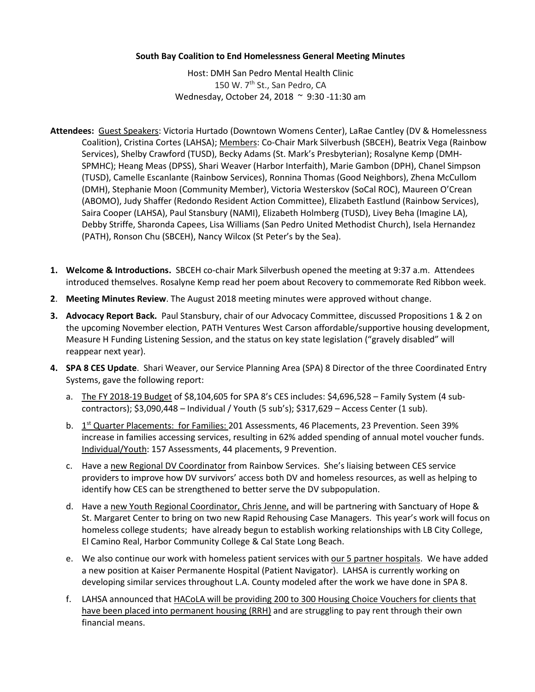## **South Bay Coalition to End Homelessness General Meeting Minutes**

Host: DMH San Pedro Mental Health Clinic 150 W. 7<sup>th</sup> St., San Pedro, CA Wednesday, October 24, 2018 ~ 9:30 -11:30 am

- **Attendees:** Guest Speakers: Victoria Hurtado (Downtown Womens Center), LaRae Cantley (DV & Homelessness Coalition), Cristina Cortes (LAHSA); Members: Co-Chair Mark Silverbush (SBCEH), Beatrix Vega (Rainbow Services), Shelby Crawford (TUSD), Becky Adams (St. Mark's Presbyterian); Rosalyne Kemp (DMH-SPMHC); Heang Meas (DPSS), Shari Weaver (Harbor Interfaith), Marie Gambon (DPH), Chanel Simpson (TUSD), Camelle Escanlante (Rainbow Services), Ronnina Thomas (Good Neighbors), Zhena McCullom (DMH), Stephanie Moon (Community Member), Victoria Westerskov (SoCal ROC), Maureen O'Crean (ABOMO), Judy Shaffer (Redondo Resident Action Committee), Elizabeth Eastlund (Rainbow Services), Saira Cooper (LAHSA), Paul Stansbury (NAMI), Elizabeth Holmberg (TUSD), Livey Beha (Imagine LA), Debby Striffe, Sharonda Capees, Lisa Williams (San Pedro United Methodist Church), Isela Hernandez (PATH), Ronson Chu (SBCEH), Nancy Wilcox (St Peter's by the Sea).
- **1. Welcome & Introductions.** SBCEH co-chair Mark Silverbush opened the meeting at 9:37 a.m. Attendees introduced themselves. Rosalyne Kemp read her poem about Recovery to commemorate Red Ribbon week.
- **2**. **Meeting Minutes Review**. The August 2018 meeting minutes were approved without change.
- **3. Advocacy Report Back.** Paul Stansbury, chair of our Advocacy Committee, discussed Propositions 1 & 2 on the upcoming November election, PATH Ventures West Carson affordable/supportive housing development, Measure H Funding Listening Session, and the status on key state legislation ("gravely disabled" will reappear next year).
- **4. SPA 8 CES Update**. Shari Weaver, our Service Planning Area (SPA) 8 Director of the three Coordinated Entry Systems, gave the following report:
	- a. The FY 2018-19 Budget of \$8,104,605 for SPA 8's CES includes: \$4,696,528 Family System (4 subcontractors); \$3,090,448 – Individual / Youth (5 sub's); \$317,629 – Access Center (1 sub).
	- b. 1<sup>st</sup> Quarter Placements: for Families: 201 Assessments, 46 Placements, 23 Prevention. Seen 39% increase in families accessing services, resulting in 62% added spending of annual motel voucher funds. Individual/Youth: 157 Assessments, 44 placements, 9 Prevention.
	- c. Have a new Regional DV Coordinator from Rainbow Services. She's liaising between CES service providers to improve how DV survivors' access both DV and homeless resources, as well as helping to identify how CES can be strengthened to better serve the DV subpopulation.
	- d. Have a new Youth Regional Coordinator, Chris Jenne, and will be partnering with Sanctuary of Hope & St. Margaret Center to bring on two new Rapid Rehousing Case Managers. This year's work will focus on homeless college students; have already begun to establish working relationships with LB City College, El Camino Real, Harbor Community College & Cal State Long Beach.
	- e. We also continue our work with homeless patient services with our 5 partner hospitals. We have added a new position at Kaiser Permanente Hospital (Patient Navigator). LAHSA is currently working on developing similar services throughout L.A. County modeled after the work we have done in SPA 8.
	- f. LAHSA announced that HACoLA will be providing 200 to 300 Housing Choice Vouchers for clients that have been placed into permanent housing (RRH) and are struggling to pay rent through their own financial means.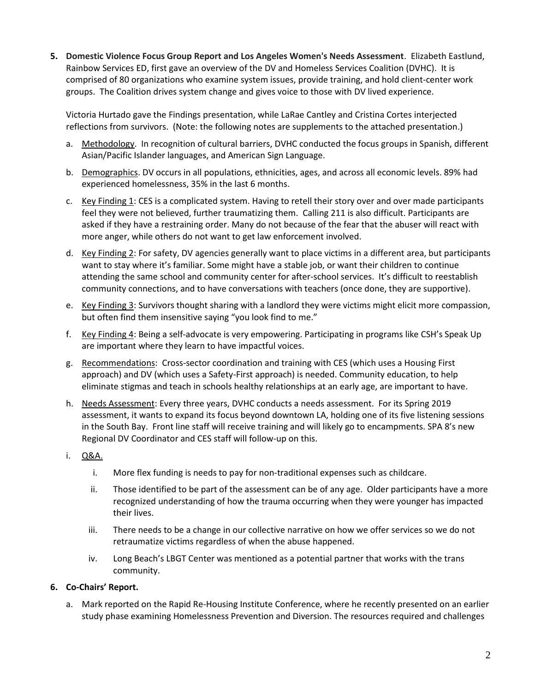**5. Domestic Violence Focus Group Report and Los Angeles Women's Needs Assessment**. Elizabeth Eastlund, Rainbow Services ED, first gave an overview of the DV and Homeless Services Coalition (DVHC). It is comprised of 80 organizations who examine system issues, provide training, and hold client-center work groups. The Coalition drives system change and gives voice to those with DV lived experience.

Victoria Hurtado gave the Findings presentation, while LaRae Cantley and Cristina Cortes interjected reflections from survivors. (Note: the following notes are supplements to the attached presentation.)

- a. Methodology. In recognition of cultural barriers, DVHC conducted the focus groups in Spanish, different Asian/Pacific Islander languages, and American Sign Language.
- b. Demographics. DV occurs in all populations, ethnicities, ages, and across all economic levels. 89% had experienced homelessness, 35% in the last 6 months.
- c. Key Finding 1: CES is a complicated system. Having to retell their story over and over made participants feel they were not believed, further traumatizing them. Calling 211 is also difficult. Participants are asked if they have a restraining order. Many do not because of the fear that the abuser will react with more anger, while others do not want to get law enforcement involved.
- d. Key Finding 2: For safety, DV agencies generally want to place victims in a different area, but participants want to stay where it's familiar. Some might have a stable job, or want their children to continue attending the same school and community center for after-school services. It's difficult to reestablish community connections, and to have conversations with teachers (once done, they are supportive).
- e. Key Finding 3: Survivors thought sharing with a landlord they were victims might elicit more compassion, but often find them insensitive saying "you look find to me."
- f. Key Finding 4: Being a self-advocate is very empowering. Participating in programs like CSH's Speak Up are important where they learn to have impactful voices.
- g. Recommendations: Cross-sector coordination and training with CES (which uses a Housing First approach) and DV (which uses a Safety-First approach) is needed. Community education, to help eliminate stigmas and teach in schools healthy relationships at an early age, are important to have.
- h. Needs Assessment: Every three years, DVHC conducts a needs assessment. For its Spring 2019 assessment, it wants to expand its focus beyond downtown LA, holding one of its five listening sessions in the South Bay. Front line staff will receive training and will likely go to encampments. SPA 8's new Regional DV Coordinator and CES staff will follow-up on this.
- i. Q&A.
	- i. More flex funding is needs to pay for non-traditional expenses such as childcare.
	- ii. Those identified to be part of the assessment can be of any age. Older participants have a more recognized understanding of how the trauma occurring when they were younger has impacted their lives.
	- iii. There needs to be a change in our collective narrative on how we offer services so we do not retraumatize victims regardless of when the abuse happened.
	- iv. Long Beach's LBGT Center was mentioned as a potential partner that works with the trans community.

## **6. Co-Chairs' Report.**

a. Mark reported on the Rapid Re-Housing Institute Conference, where he recently presented on an earlier study phase examining Homelessness Prevention and Diversion. The resources required and challenges